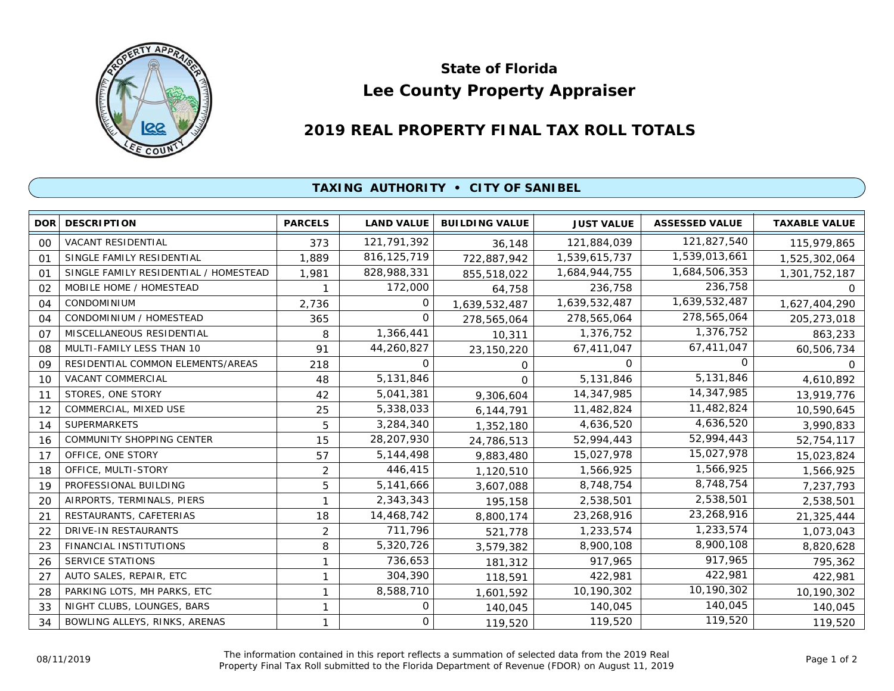

## **Lee County Property Appraiser State of Florida**

## **2019 REAL PROPERTY FINAL TAX ROLL TOTALS**

## **TAXING AUTHORITY • CITY OF SANIBEL**

| DOR <sup>1</sup> | <b>DESCRIPTION</b>                    | <b>PARCELS</b> | <b>LAND VALUE</b> | <b>BUILDING VALUE</b> | <b>JUST VALUE</b> | <b>ASSESSED VALUE</b> | <b>TAXABLE VALUE</b> |
|------------------|---------------------------------------|----------------|-------------------|-----------------------|-------------------|-----------------------|----------------------|
| 00               | <b>VACANT RESIDENTIAL</b>             | 373            | 121,791,392       | 36,148                | 121,884,039       | 121,827,540           | 115,979,865          |
| 01               | SINGLE FAMILY RESIDENTIAL             | 1,889          | 816, 125, 719     | 722,887,942           | 1,539,615,737     | 1,539,013,661         | 1,525,302,064        |
| 01               | SINGLE FAMILY RESIDENTIAL / HOMESTEAD | 1,981          | 828,988,331       | 855,518,022           | 1,684,944,755     | 1,684,506,353         | 1,301,752,187        |
| 02               | MOBILE HOME / HOMESTEAD               |                | 172,000           | 64,758                | 236,758           | 236,758               | 0                    |
| 04               | CONDOMINIUM                           | 2,736          | 0                 | 1,639,532,487         | 1,639,532,487     | 1,639,532,487         | 1,627,404,290        |
| 04               | CONDOMINIUM / HOMESTEAD               | 365            | $\Omega$          | 278,565,064           | 278,565,064       | 278,565,064           | 205,273,018          |
| O <sub>7</sub>   | MISCELLANEOUS RESIDENTIAL             | 8              | 1,366,441         | 10,311                | 1,376,752         | 1,376,752             | 863,233              |
| 08               | MULTI-FAMILY LESS THAN 10             | 91             | 44,260,827        | 23,150,220            | 67,411,047        | 67,411,047            | 60,506,734           |
| 09               | RESIDENTIAL COMMON ELEMENTS/AREAS     | 218            | $\Omega$          | 0                     | $\Omega$          | O                     | 0                    |
| 10               | VACANT COMMERCIAL                     | 48             | 5,131,846         | $\Omega$              | 5,131,846         | 5,131,846             | 4,610,892            |
| 11               | STORES, ONE STORY                     | 42             | 5,041,381         | 9,306,604             | 14,347,985        | 14,347,985            | 13,919,776           |
| 12               | COMMERCIAL, MIXED USE                 | 25             | 5,338,033         | 6,144,791             | 11,482,824        | 11,482,824            | 10,590,645           |
| 14               | <b>SUPERMARKETS</b>                   | 5              | 3,284,340         | 1,352,180             | 4,636,520         | 4,636,520             | 3,990,833            |
| 16               | COMMUNITY SHOPPING CENTER             | 15             | 28,207,930        | 24,786,513            | 52,994,443        | 52,994,443            | 52,754,117           |
| 17               | OFFICE, ONE STORY                     | 57             | 5, 144, 498       | 9,883,480             | 15,027,978        | 15,027,978            | 15,023,824           |
| 18               | OFFICE, MULTI-STORY                   | 2              | 446,415           | 1,120,510             | 1,566,925         | 1,566,925             | 1,566,925            |
| 19               | PROFESSIONAL BUILDING                 | 5              | 5,141,666         | 3,607,088             | 8,748,754         | 8,748,754             | 7,237,793            |
| 20               | AIRPORTS, TERMINALS, PIERS            | 1              | 2,343,343         | 195,158               | 2,538,501         | 2,538,501             | 2,538,501            |
| 21               | RESTAURANTS, CAFETERIAS               | 18             | 14,468,742        | 8,800,174             | 23,268,916        | 23,268,916            | 21,325,444           |
| 22               | DRIVE-IN RESTAURANTS                  | 2              | 711,796           | 521,778               | 1,233,574         | 1,233,574             | 1,073,043            |
| 23               | FINANCIAL INSTITUTIONS                | 8              | 5,320,726         | 3,579,382             | 8,900,108         | 8,900,108             | 8,820,628            |
| 26               | SERVICE STATIONS                      | 1              | 736,653           | 181,312               | 917,965           | 917,965               | 795,362              |
| 27               | AUTO SALES, REPAIR, ETC               | 1              | 304,390           | 118,591               | 422,981           | 422,981               | 422,981              |
| 28               | PARKING LOTS, MH PARKS, ETC           | 1              | 8,588,710         | 1,601,592             | 10,190,302        | 10,190,302            | 10,190,302           |
| 33               | NIGHT CLUBS, LOUNGES, BARS            | 1              | $\Omega$          | 140,045               | 140,045           | 140,045               | 140,045              |
| 34               | BOWLING ALLEYS, RINKS, ARENAS         | 1              | 0                 | 119,520               | 119,520           | 119,520               | 119,520              |